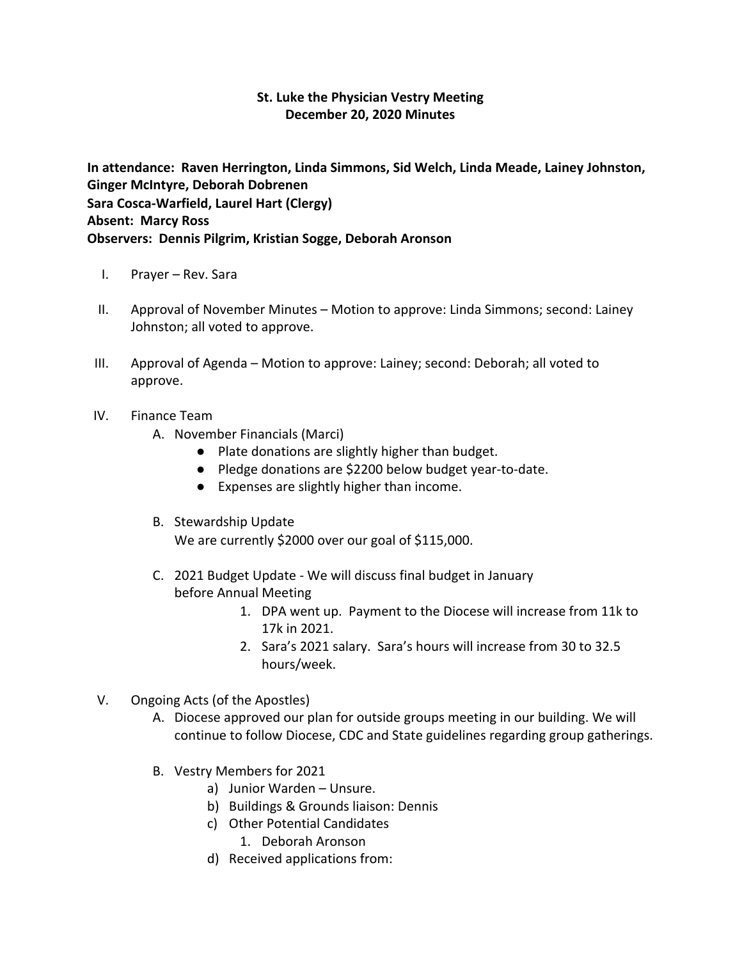## **St. Luke the Physician Vestry Meeting December 20, 2020 Minutes**

**In attendance: Raven Herrington, Linda Simmons, Sid Welch, Linda Meade, Lainey Johnston, Ginger McIntyre, Deborah Dobrenen Sara Cosca-Warfield, Laurel Hart (Clergy) Absent: Marcy Ross Observers: Dennis Pilgrim, Kristian Sogge, Deborah Aronson**

- I. Prayer Rev. Sara
- II. Approval of November Minutes Motion to approve: Linda Simmons; second: Lainey Johnston; all voted to approve.
- III. Approval of Agenda Motion to approve: Lainey; second: Deborah; all voted to approve.
- IV. Finance Team
	- A. November Financials (Marci)
		- Plate donations are slightly higher than budget.
		- Pledge donations are \$2200 below budget year-to-date.
		- Expenses are slightly higher than income.
	- B. Stewardship Update We are currently \$2000 over our goal of \$115,000.
	- C. 2021 Budget Update We will discuss final budget in January before Annual Meeting
		- 1. DPA went up. Payment to the Diocese will increase from 11k to 17k in 2021.
		- 2. Sara's 2021 salary. Sara's hours will increase from 30 to 32.5 hours/week.
- V. Ongoing Acts (of the Apostles)
	- A. Diocese approved our plan for outside groups meeting in our building. We will continue to follow Diocese, CDC and State guidelines regarding group gatherings.
	- B. Vestry Members for 2021
		- a) Junior Warden Unsure.
		- b) Buildings & Grounds liaison: Dennis
		- c) Other Potential Candidates
			- 1. Deborah Aronson
		- d) Received applications from: